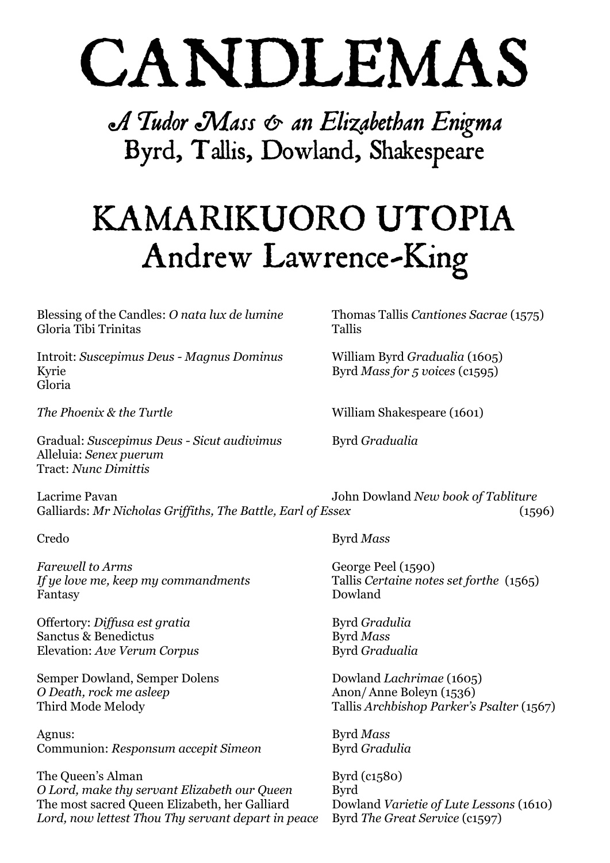# CANDLEMAS

A Tudor Mass & an Elizabethan Enigma Byrd, Tallis, Dowland, Shakespeare

## KAMARIKUORO UTOPIA Andrew Lawrence-King

Blessing of the Candles: *O nata lux de lumine* Thomas Tallis *Cantiones Sacrae* (1575) Gloria Tibi Trinitas Tallis

Introit: *Suscepimus Deus - Magnus Dominus* William Byrd *Gradualia* (1605) Kyrie Byrd *Mass for 5 voices* (c1595) Gloria

Gradual: *Suscepimus Deus - Sicut audivimus* Byrd *Gradualia* Alleluia: *Senex puerum* Tract: *Nunc Dimittis*

Lacrime Pavan John Dowland *New book of Tabliture*  Galliards: *Mr Nicholas Griffiths, The Battle, Earl of Essex* (1596)

*Farewell to Arms* George Peel (1590) *If ye love me, keep my commandments* Tallis *Certaine notes set forthe* (1565) Fantasy Dowland

Offertory: *Diffusa est gratia* Byrd *Gradulia* Sanctus & Benedictus Byrd *Mass* Elevation: *Ave Verum Corpus* Byrd *Gradualia* 

Semper Dowland, Semper Dolens Dowland *Lachrimae* (1605) *O Death, rock me asleep* Anon/Anne Boleyn (1536)

Agnus: Byrd *Mass* Communion: *Responsum accepit Simeon* Byrd *Gradulia*

The Queen's Alman Byrd (c1580) *O Lord, make thy servant Elizabeth our Queen* Byrd The most sacred Queen Elizabeth, her Galliard Dowland *Varietie of Lute Lessons* (1610) *Lord, now lettest Thou Thy servant depart in peace* Byrd *The Great Service* (c1597)

*The Phoenix & the Turtle* William Shakespeare (1601)

Credo Byrd *Mass*

Third Mode Melody Tallis *Archbishop Parker's Psalter* (1567)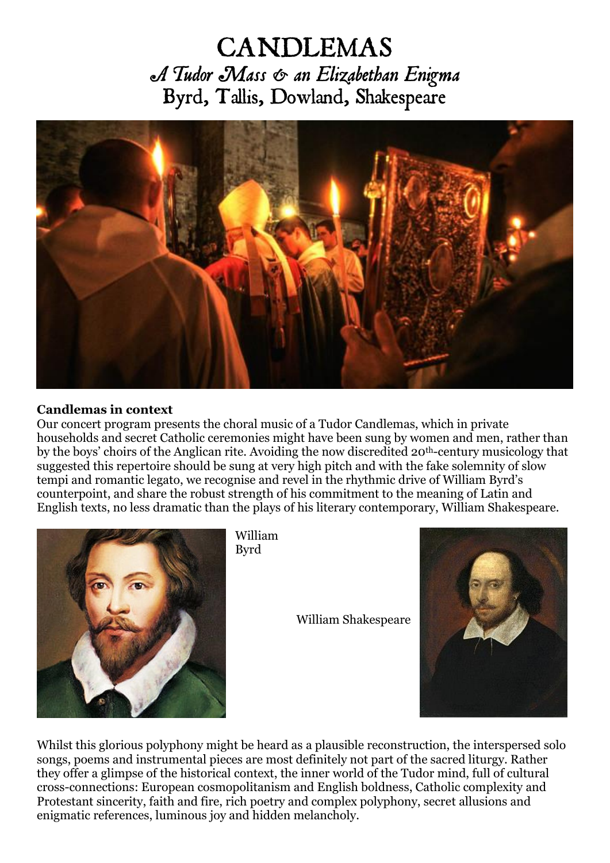### **CANDLEMAS** A Tudor Mass & an Elizabethan Enigma Byrd, Tallis, Dowland, Shakespeare



#### **Candlemas in context**

Our concert program presents the choral music of a Tudor Candlemas, which in private households and secret Catholic ceremonies might have been sung by women and men, rather than by the boys' choirs of the Anglican rite. Avoiding the now discredited 20th-century musicology that suggested this repertoire should be sung at very high pitch and with the fake solemnity of slow tempi and romantic legato, we recognise and revel in the rhythmic drive of William Byrd's counterpoint, and share the robust strength of his commitment to the meaning of Latin and English texts, no less dramatic than the plays of his literary contemporary, William Shakespeare.



William Byrd

William Shakespeare



Whilst this glorious polyphony might be heard as a plausible reconstruction, the interspersed solo songs, poems and instrumental pieces are most definitely not part of the sacred liturgy. Rather they offer a glimpse of the historical context, the inner world of the Tudor mind, full of cultural cross-connections: European cosmopolitanism and English boldness, Catholic complexity and Protestant sincerity, faith and fire, rich poetry and complex polyphony, secret allusions and enigmatic references, luminous joy and hidden melancholy.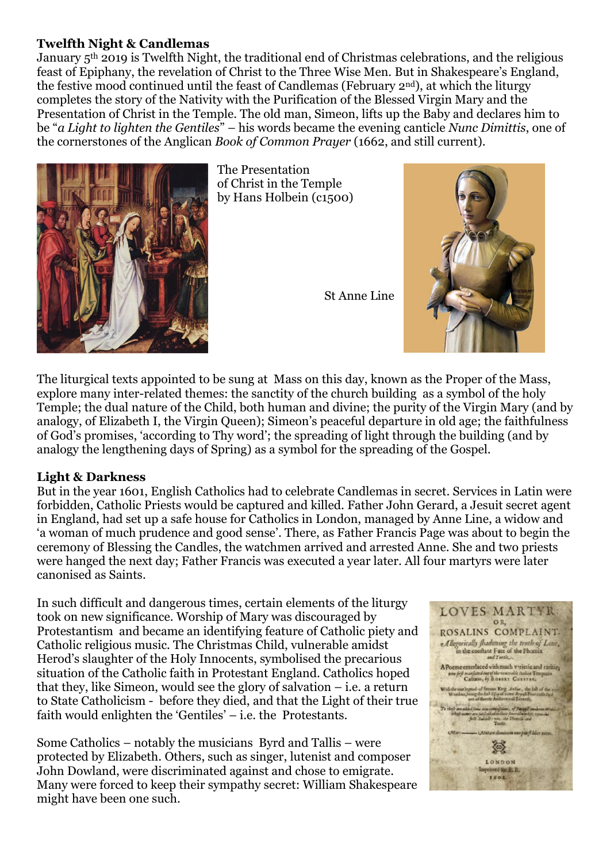#### **Twelfth Night & Candlemas**

January 5th 2019 is Twelfth Night, the traditional end of Christmas celebrations, and the religious feast of Epiphany, the revelation of Christ to the Three Wise Men. But in Shakespeare's England, the festive mood continued until the feast of Candlemas (February 2nd), at which the liturgy completes the story of the Nativity with the Purification of the Blessed Virgin Mary and the Presentation of Christ in the Temple. The old man, Simeon, lifts up the Baby and declares him to be "*a Light to lighten the Gentiles*" – his words became the evening canticle *Nunc Dimittis*, one of the cornerstones of the Anglican *Book of Common Prayer* (1662, and still current).



The Presentation of Christ in the Temple by Hans Holbein (c1500)

St Anne Line



The liturgical texts appointed to be sung at Mass on this day, known as the Proper of the Mass, explore many inter-related themes: the sanctity of the church building as a symbol of the holy Temple; the dual nature of the Child, both human and divine; the purity of the Virgin Mary (and by analogy, of Elizabeth I, the Virgin Queen); Simeon's peaceful departure in old age; the faithfulness of God's promises, 'according to Thy word'; the spreading of light through the building (and by analogy the lengthening days of Spring) as a symbol for the spreading of the Gospel.

#### **Light & Darkness**

But in the year 1601, English Catholics had to celebrate Candlemas in secret. Services in Latin were forbidden, Catholic Priests would be captured and killed. Father John Gerard, a Jesuit secret agent in England, had set up a safe house for Catholics in London, managed by Anne Line, a widow and 'a woman of much prudence and good sense'. There, as Father Francis Page was about to begin the ceremony of Blessing the Candles, the watchmen arrived and arrested Anne. She and two priests were hanged the next day; Father Francis was executed a year later. All four martyrs were later canonised as Saints.

In such difficult and dangerous times, certain elements of the liturgy took on new significance. Worship of Mary was discouraged by Protestantism and became an identifying feature of Catholic piety and Catholic religious music. The Christmas Child, vulnerable amidst Herod's slaughter of the Holy Innocents, symbolised the precarious situation of the Catholic faith in Protestant England. Catholics hoped that they, like Simeon, would see the glory of salvation – i.e. a return to State Catholicism - before they died, and that the Light of their true faith would enlighten the 'Gentiles' – i.e. the Protestants.

Some Catholics – notably the musicians Byrd and Tallis – were protected by Elizabeth. Others, such as singer, lutenist and composer John Dowland, were discriminated against and chose to emigrate. Many were forced to keep their sympathy secret: William Shakespeare might have been one such.

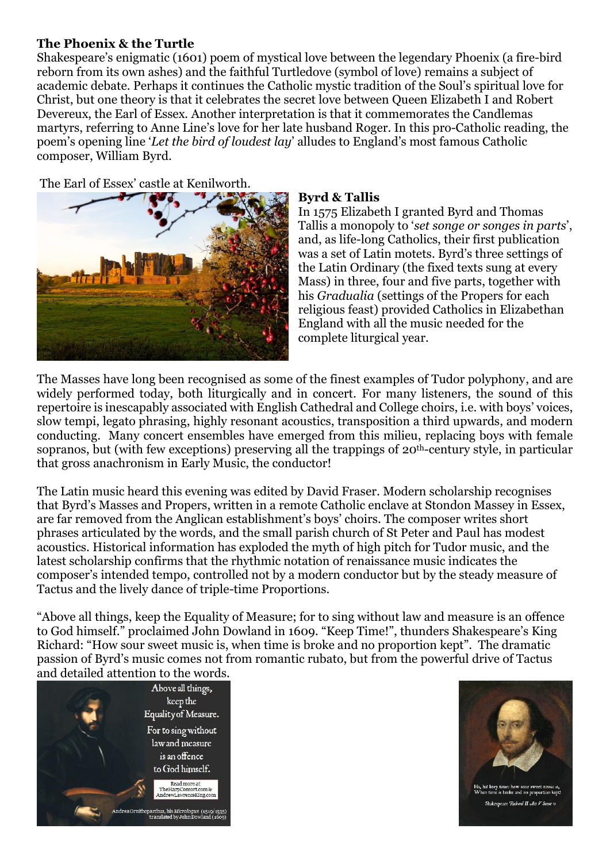#### **The Phoenix & the Turtle**

Shakespeare's enigmatic (1601) poem of mystical love between the legendary Phoenix (a fire-bird reborn from its own ashes) and the faithful Turtledove (symbol of love) remains a subject of academic debate. Perhaps it continues the Catholic mystic tradition of the Soul's spiritual love for Christ, but one theory is that it celebrates the secret love between Queen Elizabeth I and Robert Devereux, the Earl of Essex. Another interpretation is that it commemorates the Candlemas martyrs, referring to Anne Line's love for her late husband Roger. In this pro-Catholic reading, the poem's opening line '*Let the bird of loudest lay*' alludes to England's most famous Catholic composer, William Byrd.

The Earl of Essex' castle at Kenilworth.



#### **Byrd & Tallis**

In 1575 Elizabeth I granted Byrd and Thomas Tallis a monopoly to '*set songe or songes in parts*', and, as life-long Catholics, their first publication was a set of Latin motets. Byrd's three settings of the Latin Ordinary (the fixed texts sung at every Mass) in three, four and five parts, together with his *Gradualia* (settings of the Propers for each religious feast) provided Catholics in Elizabethan England with all the music needed for the complete liturgical year.

The Masses have long been recognised as some of the finest examples of Tudor polyphony, and are widely performed today, both liturgically and in concert. For many listeners, the sound of this repertoire is inescapably associated with English Cathedral and College choirs, i.e. with boys' voices, slow tempi, legato phrasing, highly resonant acoustics, transposition a third upwards, and modern conducting. Many concert ensembles have emerged from this milieu, replacing boys with female sopranos, but (with few exceptions) preserving all the trappings of 20<sup>th</sup>-century style, in particular that gross anachronism in Early Music, the conductor!

The Latin music heard this evening was edited by David Fraser. Modern scholarship recognises that Byrd's Masses and Propers, written in a remote Catholic enclave at Stondon Massey in Essex, are far removed from the Anglican establishment's boys' choirs. The composer writes short phrases articulated by the words, and the small parish church of St Peter and Paul has modest acoustics. Historical information has exploded the myth of high pitch for Tudor music, and the latest scholarship confirms that the rhythmic notation of renaissance music indicates the composer's intended tempo, controlled not by a modern conductor but by the steady measure of Tactus and the lively dance of triple-time Proportions.

"Above all things, keep the Equality of Measure; for to sing without law and measure is an offence to God himself." proclaimed John Dowland in 1609. "Keep Time!", thunders Shakespeare's King Richard: "How sour sweet music is, when time is broke and no proportion kept". The dramatic passion of Byrd's music comes not from romantic rubato, but from the powerful drive of Tactus and detailed attention to the words.





.<br>sespeare Richard II Act V Scene v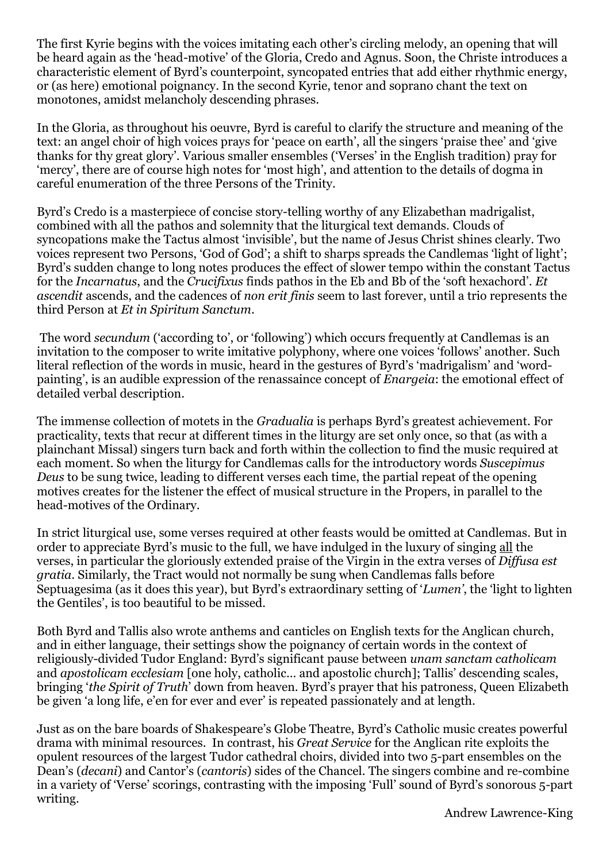The first Kyrie begins with the voices imitating each other's circling melody, an opening that will be heard again as the 'head-motive' of the Gloria, Credo and Agnus. Soon, the Christe introduces a characteristic element of Byrd's counterpoint, syncopated entries that add either rhythmic energy, or (as here) emotional poignancy. In the second Kyrie, tenor and soprano chant the text on monotones, amidst melancholy descending phrases.

In the Gloria, as throughout his oeuvre, Byrd is careful to clarify the structure and meaning of the text: an angel choir of high voices prays for 'peace on earth', all the singers 'praise thee' and 'give thanks for thy great glory'. Various smaller ensembles ('Verses' in the English tradition) pray for 'mercy', there are of course high notes for 'most high', and attention to the details of dogma in careful enumeration of the three Persons of the Trinity.

Byrd's Credo is a masterpiece of concise story-telling worthy of any Elizabethan madrigalist, combined with all the pathos and solemnity that the liturgical text demands. Clouds of syncopations make the Tactus almost 'invisible', but the name of Jesus Christ shines clearly. Two voices represent two Persons, 'God of God'; a shift to sharps spreads the Candlemas 'light of light'; Byrd's sudden change to long notes produces the effect of slower tempo within the constant Tactus for the *Incarnatus*, and the *Crucifixus* finds pathos in the Eb and Bb of the 'soft hexachord'. *Et ascendit* ascends, and the cadences of *non erit finis* seem to last forever, until a trio represents the third Person at *Et in Spiritum Sanctum*.

The word *secundum* ('according to', or 'following') which occurs frequently at Candlemas is an invitation to the composer to write imitative polyphony, where one voices 'follows' another. Such literal reflection of the words in music, heard in the gestures of Byrd's 'madrigalism' and 'wordpainting', is an audible expression of the renassaince concept of *Enargeia*: the emotional effect of detailed verbal description.

The immense collection of motets in the *Gradualia* is perhaps Byrd's greatest achievement. For practicality, texts that recur at different times in the liturgy are set only once, so that (as with a plainchant Missal) singers turn back and forth within the collection to find the music required at each moment. So when the liturgy for Candlemas calls for the introductory words *Suscepimus Deus* to be sung twice, leading to different verses each time, the partial repeat of the opening motives creates for the listener the effect of musical structure in the Propers, in parallel to the head-motives of the Ordinary.

In strict liturgical use, some verses required at other feasts would be omitted at Candlemas. But in order to appreciate Byrd's music to the full, we have indulged in the luxury of singing all the verses, in particular the gloriously extended praise of the Virgin in the extra verses of *Diffusa est gratia*. Similarly, the Tract would not normally be sung when Candlemas falls before Septuagesima (as it does this year), but Byrd's extraordinary setting of '*Lumen'*, the 'light to lighten the Gentiles', is too beautiful to be missed.

Both Byrd and Tallis also wrote anthems and canticles on English texts for the Anglican church, and in either language, their settings show the poignancy of certain words in the context of religiously-divided Tudor England: Byrd's significant pause between *unam sanctam catholicam*  and *apostolicam ecclesiam* [one holy, catholic… and apostolic church]; Tallis' descending scales, bringing '*the Spirit of Truth*' down from heaven. Byrd's prayer that his patroness, Queen Elizabeth be given 'a long life, e'en for ever and ever' is repeated passionately and at length.

Just as on the bare boards of Shakespeare's Globe Theatre, Byrd's Catholic music creates powerful drama with minimal resources. In contrast, his *Great Service* for the Anglican rite exploits the opulent resources of the largest Tudor cathedral choirs, divided into two 5-part ensembles on the Dean's (*decani*) and Cantor's (*cantoris*) sides of the Chancel. The singers combine and re-combine in a variety of 'Verse' scorings, contrasting with the imposing 'Full' sound of Byrd's sonorous 5-part writing.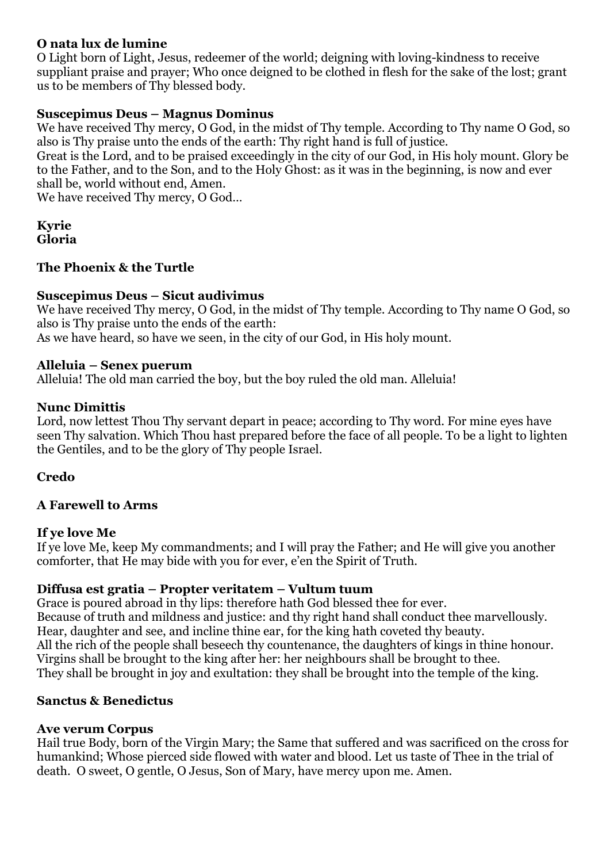#### **O nata lux de lumine**

O Light born of Light, Jesus, redeemer of the world; deigning with loving-kindness to receive suppliant praise and prayer; Who once deigned to be clothed in flesh for the sake of the lost; grant us to be members of Thy blessed body.

#### **Suscepimus Deus – Magnus Dominus**

We have received Thy mercy, O God, in the midst of Thy temple. According to Thy name O God, so also is Thy praise unto the ends of the earth: Thy right hand is full of justice.

Great is the Lord, and to be praised exceedingly in the city of our God, in His holy mount. Glory be to the Father, and to the Son, and to the Holy Ghost: as it was in the beginning, is now and ever shall be, world without end, Amen.

We have received Thy mercy, O God…

#### **Kyrie Gloria**

#### **The Phoenix & the Turtle**

#### **Suscepimus Deus – Sicut audivimus**

We have received Thy mercy, O God, in the midst of Thy temple. According to Thy name O God, so also is Thy praise unto the ends of the earth:

As we have heard, so have we seen, in the city of our God, in His holy mount.

#### **Alleluia – Senex puerum**

Alleluia! The old man carried the boy, but the boy ruled the old man. Alleluia!

#### **Nunc Dimittis**

Lord, now lettest Thou Thy servant depart in peace; according to Thy word. For mine eyes have seen Thy salvation. Which Thou hast prepared before the face of all people. To be a light to lighten the Gentiles, and to be the glory of Thy people Israel.

#### **Credo**

#### **A Farewell to Arms**

#### **If ye love Me**

If ye love Me, keep My commandments; and I will pray the Father; and He will give you another comforter, that He may bide with you for ever, e'en the Spirit of Truth.

#### **Diffusa est gratia – Propter veritatem – Vultum tuum**

Grace is poured abroad in thy lips: therefore hath God blessed thee for ever. Because of truth and mildness and justice: and thy right hand shall conduct thee marvellously. Hear, daughter and see, and incline thine ear, for the king hath coveted thy beauty. All the rich of the people shall beseech thy countenance, the daughters of kings in thine honour. Virgins shall be brought to the king after her: her neighbours shall be brought to thee. They shall be brought in joy and exultation: they shall be brought into the temple of the king.

#### **Sanctus & Benedictus**

#### **Ave verum Corpus**

Hail true Body, born of the Virgin Mary; the Same that suffered and was sacrificed on the cross for humankind; Whose pierced side flowed with water and blood. Let us taste of Thee in the trial of death. O sweet, O gentle, O Jesus, Son of Mary, have mercy upon me. Amen.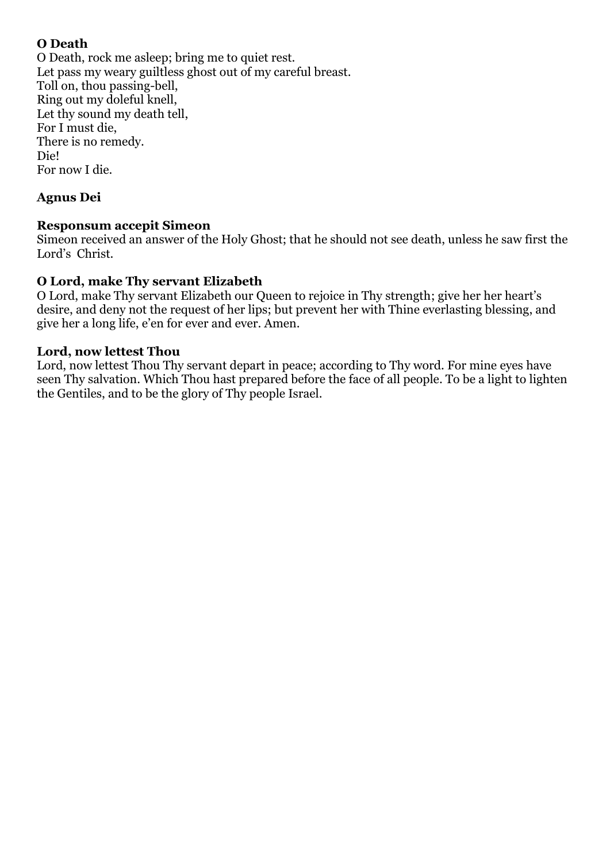#### **O Death**

O Death, rock me asleep; bring me to quiet rest. Let pass my weary guiltless ghost out of my careful breast. Toll on, thou passing-bell, Ring out my doleful knell, Let thy sound my death tell, For I must die, There is no remedy. Die! For now I die.

#### **Agnus Dei**

#### **Responsum accepit Simeon**

Simeon received an answer of the Holy Ghost; that he should not see death, unless he saw first the Lord's Christ.

#### **O Lord, make Thy servant Elizabeth**

O Lord, make Thy servant Elizabeth our Queen to rejoice in Thy strength; give her her heart's desire, and deny not the request of her lips; but prevent her with Thine everlasting blessing, and give her a long life, e'en for ever and ever. Amen.

#### **Lord, now lettest Thou**

Lord, now lettest Thou Thy servant depart in peace; according to Thy word. For mine eyes have seen Thy salvation. Which Thou hast prepared before the face of all people. To be a light to lighten the Gentiles, and to be the glory of Thy people Israel.